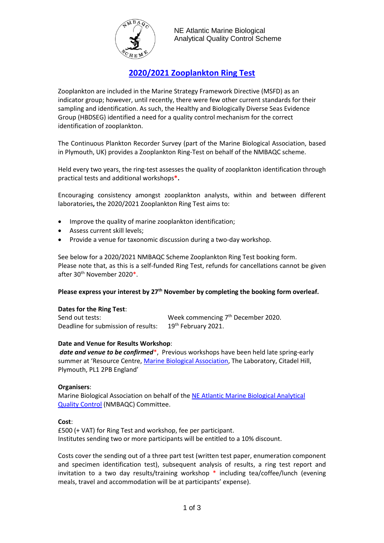

# **2020/2021 Zooplankton Ring Test**

Zooplankton are included in the Marine Strategy Framework Directive (MSFD) as an indicator group; however, until recently, there were few other current standards for their sampling and identification. As such, the Healthy and Biologically Diverse Seas Evidence Group (HBDSEG) identified a need for a quality control mechanism for the correct identification of zooplankton.

The Continuous Plankton Recorder Survey (part of the Marine Biological Association, based in Plymouth, UK) provides a Zooplankton Ring-Test on behalf of the NMBAQC scheme.

Held every two years, the ring-test assesses the quality of zooplankton identification through practical tests and additional workshops**\*.**

Encouraging consistency amongst zooplankton analysts, within and between different laboratories**,** the 2020/2021 Zooplankton Ring Test aims to:

- Improve the quality of marine zooplankton identification;
- Assess current skill levels;
- Provide a venue for taxonomic discussion during a two-day workshop.

See below for a 2020/2021 NMBAQC Scheme Zooplankton Ring Test booking form. Please note that, as this is a self-funded Ring Test, refunds for cancellations cannot be given after 30th November 2020\*.

### **Please express your interest by 27th November by completing the booking form overleaf.**

### **Dates for the Ring Test**:

Send out tests: The Send out tests: The Send out tests:  $\mathsf{W}\mathsf{eek}$  commencing  $7^\text{th}$  December 2020. Deadline for submission of results: 19<sup>th</sup> February 2021.

### **Date and Venue for Results Workshop**:

*date and venue to be confirmed*\*, Previous workshops have been held late spring-early summer at 'Resource Centre[, Marine Biological Association,](http://www.mba.ac.uk/) The Laboratory, Citadel Hill, Plymouth, PL1 2PB England'

### **Organisers**:

Marine Biological Association on behalf of the NE Atlantic [Marine Biological](http://www.nmbaqcs.org/) Analytical [Quality Control](http://www.nmbaqcs.org/) (NMBAQC) Committee.

### **Cost**:

£500 (+ VAT) for Ring Test and workshop, fee per participant. Institutes sending two or more participants will be entitled to a 10% discount.

Costs cover the sending out of a three part test (written test paper, enumeration component and specimen identification test), subsequent analysis of results, a ring test report and invitation to a two day results/training workshop \* including tea/coffee/lunch (evening meals, travel and accommodation will be at participants' expense).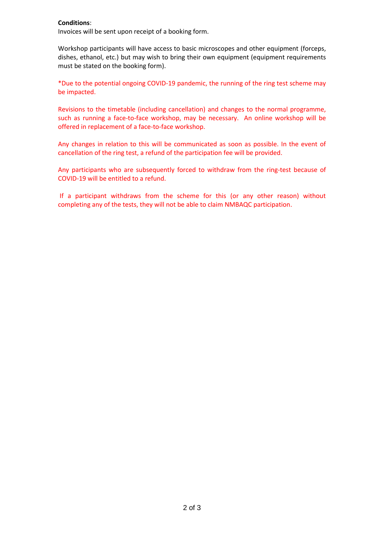### **Conditions**:

Invoices will be sent upon receipt of a booking form.

Workshop participants will have access to basic microscopes and other equipment (forceps, dishes, ethanol, etc.) but may wish to bring their own equipment (equipment requirements must be stated on the booking form).

\*Due to the potential ongoing COVID-19 pandemic, the running of the ring test scheme may be impacted.

Revisions to the timetable (including cancellation) and changes to the normal programme, such as running a face-to-face workshop, may be necessary. An online workshop will be offered in replacement of a face-to-face workshop.

Any changes in relation to this will be communicated as soon as possible. In the event of cancellation of the ring test, a refund of the participation fee will be provided.

Any participants who are subsequently forced to withdraw from the ring-test because of COVID-19 will be entitled to a refund.

If a participant withdraws from the scheme for this (or any other reason) without completing any of the tests, they will not be able to claim NMBAQC participation.